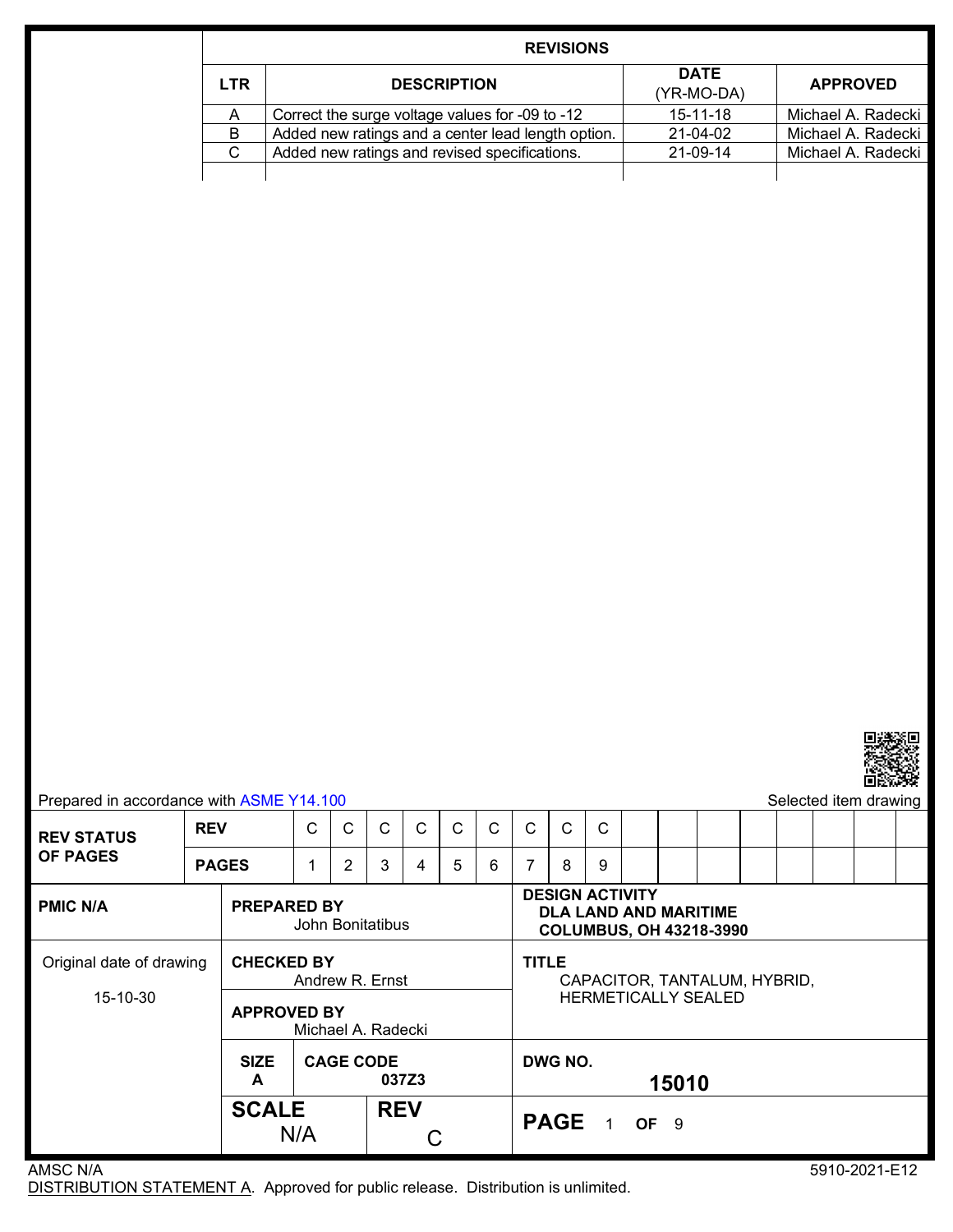|            | <b>REVISIONS</b>                                   |                           |                    |  |  |  |  |  |  |  |  |
|------------|----------------------------------------------------|---------------------------|--------------------|--|--|--|--|--|--|--|--|
| <b>LTR</b> | <b>DESCRIPTION</b>                                 | <b>DATE</b><br>(YR-MO-DA) | <b>APPROVED</b>    |  |  |  |  |  |  |  |  |
| A          | Correct the surge voltage values for -09 to -12    | $15 - 11 - 18$            | Michael A. Radecki |  |  |  |  |  |  |  |  |
| B          | Added new ratings and a center lead length option. | $21 - 04 - 02$            | Michael A. Radecki |  |  |  |  |  |  |  |  |
| C.         | Added new ratings and revised specifications.      | 21-09-14                  | Michael A. Radecki |  |  |  |  |  |  |  |  |
|            |                                                    |                           |                    |  |  |  |  |  |  |  |  |



|                                                                                                                                                       |            |                                            |                                          |             |                                              |   |   |              |              |   |       |  |                            |  |  |  | 国政の政策                 |  |
|-------------------------------------------------------------------------------------------------------------------------------------------------------|------------|--------------------------------------------|------------------------------------------|-------------|----------------------------------------------|---|---|--------------|--------------|---|-------|--|----------------------------|--|--|--|-----------------------|--|
| Prepared in accordance with ASME Y14.100                                                                                                              |            |                                            |                                          |             |                                              |   |   |              |              |   |       |  |                            |  |  |  | Selected item drawing |  |
| <b>REV STATUS</b>                                                                                                                                     | <b>REV</b> |                                            | C                                        | C           | C                                            | C | C | $\mathsf{C}$ | $\mathsf{C}$ | C | C     |  |                            |  |  |  |                       |  |
| <b>OF PAGES</b>                                                                                                                                       |            | 2<br>3<br>5<br><b>PAGES</b><br>6<br>1<br>4 |                                          |             |                                              |   |   | 7            | 8            | 9 |       |  |                            |  |  |  |                       |  |
| <b>DESIGN ACTIVITY</b><br><b>PMIC N/A</b><br><b>PREPARED BY</b><br><b>DLA LAND AND MARITIME</b><br>John Bonitatibus<br><b>COLUMBUS, OH 43218-3990</b> |            |                                            |                                          |             |                                              |   |   |              |              |   |       |  |                            |  |  |  |                       |  |
| <b>CHECKED BY</b><br>Original date of drawing<br>Andrew R. Ernst                                                                                      |            |                                            |                                          |             | <b>TITLE</b><br>CAPACITOR, TANTALUM, HYBRID, |   |   |              |              |   |       |  |                            |  |  |  |                       |  |
| 15-10-30                                                                                                                                              |            |                                            | <b>APPROVED BY</b><br>Michael A. Radecki |             |                                              |   |   |              |              |   |       |  | <b>HERMETICALLY SEALED</b> |  |  |  |                       |  |
|                                                                                                                                                       |            | <b>SIZE</b><br>A                           | <b>CAGE CODE</b><br>037Z3                |             |                                              |   |   | DWG NO.      |              |   | 15010 |  |                            |  |  |  |                       |  |
| <b>SCALE</b><br><b>REV</b><br>N/A                                                                                                                     |            |                                            |                                          | PAGE 1 OF 9 |                                              |   |   |              |              |   |       |  |                            |  |  |  |                       |  |
| AMSC N/A                                                                                                                                              |            |                                            |                                          |             |                                              |   |   |              |              |   |       |  |                            |  |  |  | 5910-2021-E12         |  |

DISTRIBUTION STATEMENT A. Approved for public release. Distribution is unlimited.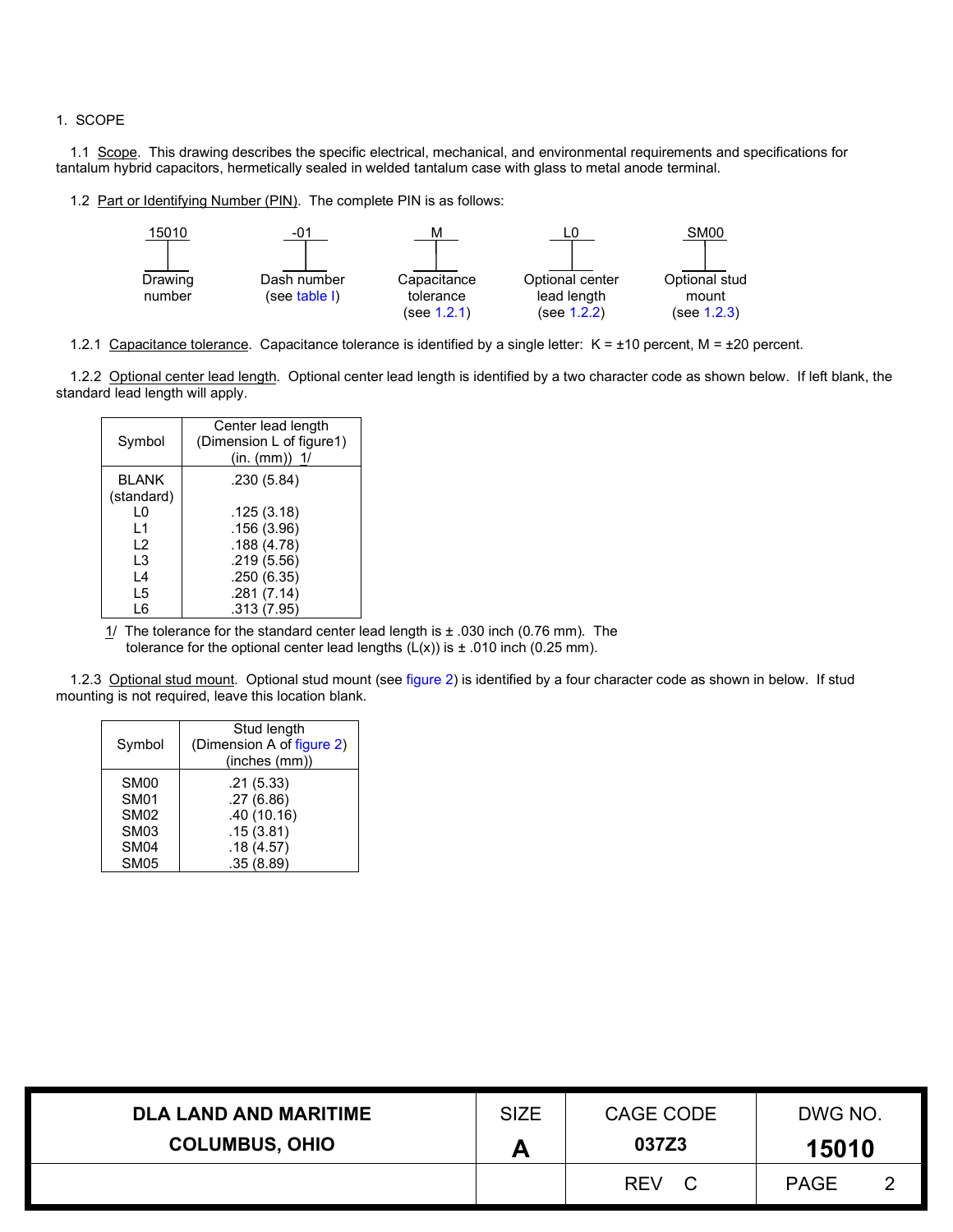### 1. SCOPE

1.1 Scope. This drawing describes the specific electrical, mechanical, and environmental requirements and specifications for tantalum hybrid capacitors, hermetically sealed in welded tantalum case with glass to metal anode terminal.

<span id="page-1-3"></span>1.2 Part or Identifying Number (PIN). The complete PIN is as follows:



<span id="page-1-0"></span>1.2.1 Capacitance tolerance. Capacitance tolerance is identified by a single letter:  $K = \pm 10$  percent,  $M = \pm 20$  percent.

<span id="page-1-1"></span>1.2.2 Optional center lead length. Optional center lead length is identified by a two character code as shown below. If left blank, the standard lead length will apply.

| Symbol                     | Center lead length<br>(Dimension L of figure1)<br>(in. (mm)) $1/$ |
|----------------------------|-------------------------------------------------------------------|
| <b>BLANK</b><br>(standard) | .230 (5.84)                                                       |
| 1 O                        | .125 (3.18)                                                       |
| l 1                        | .156(3.96)                                                        |
| 12                         | .188(4.78)                                                        |
| L3                         | .219(5.56)                                                        |
| L4                         | .250(6.35)                                                        |
| L5                         | .281(7.14)                                                        |
| L6                         | .313 (7.95)                                                       |

 $1/$  The tolerance for the standard center lead length is  $\pm$  .030 inch (0.76 mm). The tolerance for the optional center lead lengths  $(L(x))$  is  $\pm$  .010 inch (0.25 mm).

<span id="page-1-2"></span>1.2.3 Optional stud mount. Optional stud mount (see [figure 2\)](#page-7-0) is identified by a four character code as shown in below. If stud mounting is not required, leave this location blank.

| Symbol           | Stud length<br>(Dimension A of figure 2)<br>(inches (mm)) |
|------------------|-----------------------------------------------------------|
| SM <sub>00</sub> | .21(5.33)                                                 |
| <b>SM01</b>      | .27(6.86)                                                 |
| <b>SM02</b>      | .40(10.16)                                                |
| SM <sub>03</sub> | .15(3.81)                                                 |
| SM <sub>04</sub> | .18(4.57)                                                 |
| SM <sub>05</sub> | .35(8.89)                                                 |

| <b>DLA LAND AND MARITIME</b> | <b>SIZE</b> | CAGE CODE         | DWG NO.     |  |  |
|------------------------------|-------------|-------------------|-------------|--|--|
| <b>COLUMBUS, OHIO</b>        |             | 037Z3             | 15010       |  |  |
|                              |             | <b>REV</b><br>- C | <b>PAGE</b> |  |  |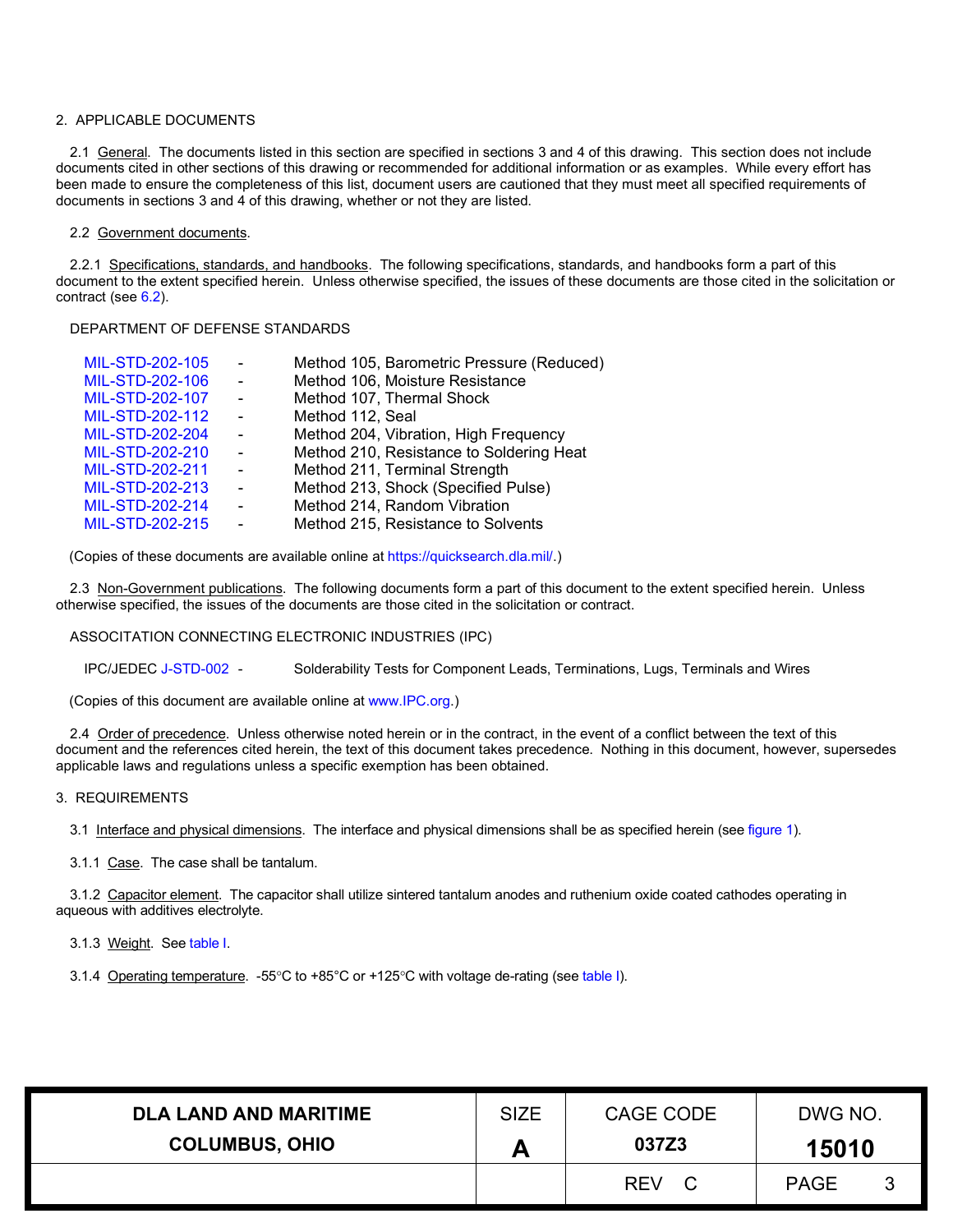### 2. APPLICABLE DOCUMENTS

2.1 General. The documents listed in this section are specified in sections 3 and 4 of this drawing. This section does not include documents cited in other sections of this drawing or recommended for additional information or as examples. While every effort has been made to ensure the completeness of this list, document users are cautioned that they must meet all specified requirements of documents in sections 3 and 4 of this drawing, whether or not they are listed.

#### 2.2 Government documents.

2.2.1 Specifications, standards, and handbooks. The following specifications, standards, and handbooks form a part of this document to the extent specified herein. Unless otherwise specified, the issues of these documents are those cited in the solicitation or contract (se[e 6.2\)](#page-7-1).

#### DEPARTMENT OF DEFENSE STANDARDS

| MIL-STD-202-105 | $\sim$         | Method 105, Barometric Pressure (Reduced) |
|-----------------|----------------|-------------------------------------------|
| MIL-STD-202-106 | $\sim$         | Method 106, Moisture Resistance           |
| MIL-STD-202-107 | $\sim$         | Method 107, Thermal Shock                 |
| MIL-STD-202-112 | $\sim$         | Method 112, Seal                          |
| MIL-STD-202-204 | $\sim$         | Method 204, Vibration, High Frequency     |
| MIL-STD-202-210 | $\sim$         | Method 210, Resistance to Soldering Heat  |
| MIL-STD-202-211 | $\sim$         | Method 211, Terminal Strength             |
| MIL-STD-202-213 | $\blacksquare$ | Method 213, Shock (Specified Pulse)       |
| MIL-STD-202-214 | $\blacksquare$ | Method 214, Random Vibration              |
| MIL-STD-202-215 | $\blacksquare$ | Method 215, Resistance to Solvents        |
|                 |                |                                           |

(Copies of these documents are available online at [https://quicksearch.dla.mil/.](https://quicksearch.dla.mil/))

2.3 Non-Government publications. The following documents form a part of this document to the extent specified herein. Unless otherwise specified, the issues of the documents are those cited in the solicitation or contract.

#### ASSOCITATION CONNECTING ELECTRONIC INDUSTRIES (IPC)

IPC/JEDE[C J-STD-002](http://www.ipc.org/) - Solderability Tests for Component Leads, Terminations, Lugs, Terminals and Wires

(Copies of this document are available online at [www.IPC.org.](http://www.ipc.org/))

2.4 Order of precedence. Unless otherwise noted herein or in the contract, in the event of a conflict between the text of this document and the references cited herein, the text of this document takes precedence. Nothing in this document, however, supersedes applicable laws and regulations unless a specific exemption has been obtained.

## 3. REQUIREMENTS

3.1 Interface and physical dimensions. The interface and physical dimensions shall be as specified herein (see [figure 1\)](#page-3-0).

3.1.1 Case. The case shall be tantalum.

3.1.2 Capacitor element. The capacitor shall utilize sintered tantalum anodes and ruthenium oxide coated cathodes operating in aqueous with additives electrolyte.

3.1.3 Weight. See [table I.](#page-6-0)

3.1.4 Operating temperature. -55°C to +85°C or +125°C with voltage de-rating (se[e table I\).](#page-6-0)

| <b>DLA LAND AND MARITIME</b> | <b>SIZE</b> | CAGE CODE        | DWG NO.     |  |  |
|------------------------------|-------------|------------------|-------------|--|--|
| <b>COLUMBUS, OHIO</b>        |             | 037Z3            | 15010       |  |  |
|                              |             | <b>REV</b><br>C. | <b>PAGE</b> |  |  |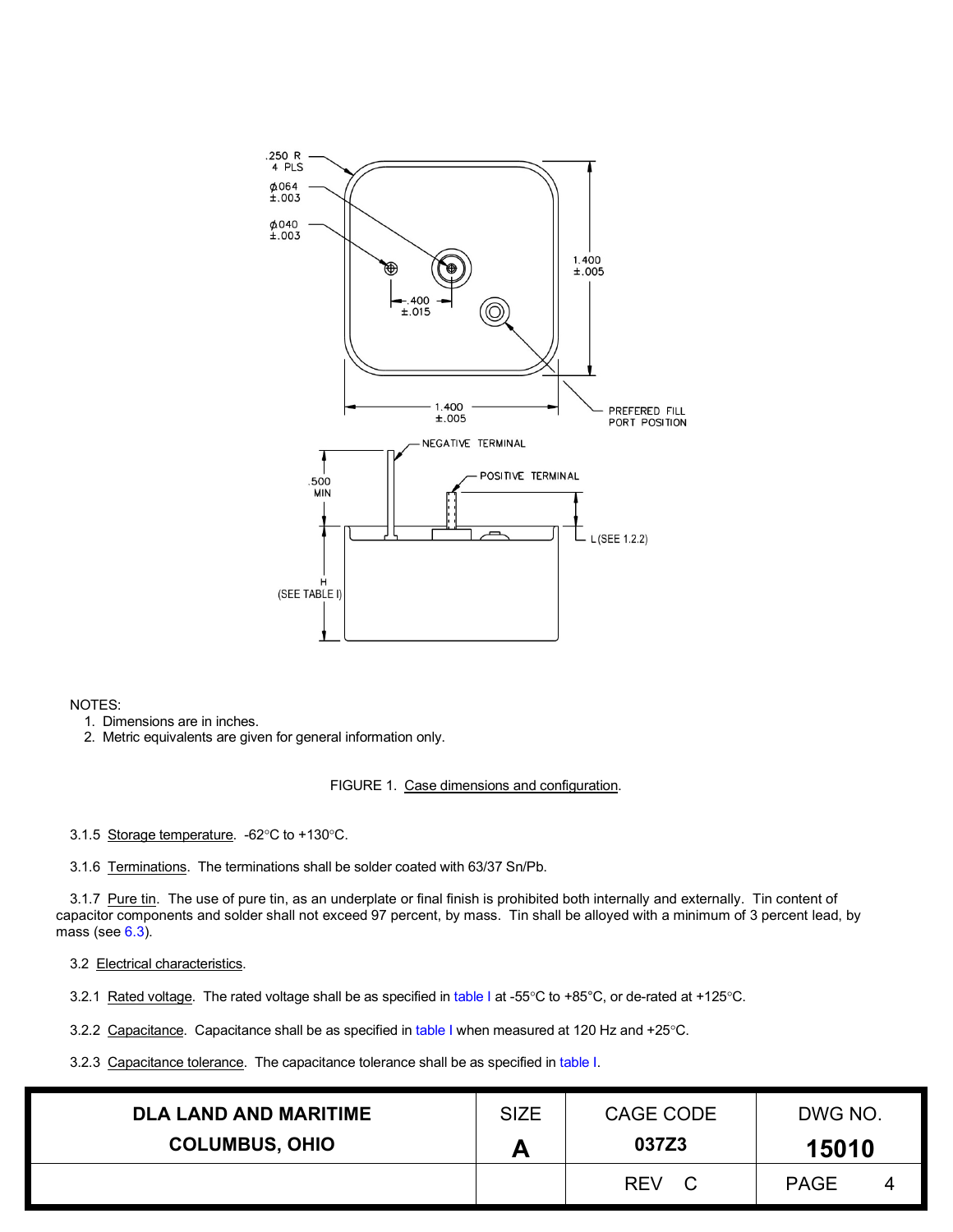<span id="page-3-0"></span>

## NOTES:

1. Dimensions are in inches.

2. Metric equivalents are given for general information only.

## FIGURE 1. Case dimensions and configuration.

3.1.5 Storage temperature. -62°C to +130°C.

3.1.6 Terminations. The terminations shall be solder coated with 63/37 Sn/Pb.

3.1.7 Pure tin. The use of pure tin, as an underplate or final finish is prohibited both internally and externally. Tin content of capacitor components and solder shall not exceed 97 percent, by mass. Tin shall be alloyed with a minimum of 3 percent lead, by mass (see  $6.3$ ).

3.2 Electrical characteristics.

3.2.1 Rated voltage. The rated voltage shall be as specified in [table I](#page-6-0) at -55°C to +85°C, or de-rated at +125°C.

3.2.2 Capacitance. Capacitance shall be as specified in [table I](#page-6-0) when measured at 120 Hz and +25°C.

3.2.3 Capacitance tolerance. The capacitance tolerance shall be as specified in [table I.](#page-6-0)

| <b>DLA LAND AND MARITIME</b> | <b>SIZE</b> | CAGE CODE  | DWG NO.     |   |  |
|------------------------------|-------------|------------|-------------|---|--|
| <b>COLUMBUS, OHIO</b>        |             | 037Z3      | 15010       |   |  |
|                              |             | <b>REV</b> | <b>PAGE</b> | 4 |  |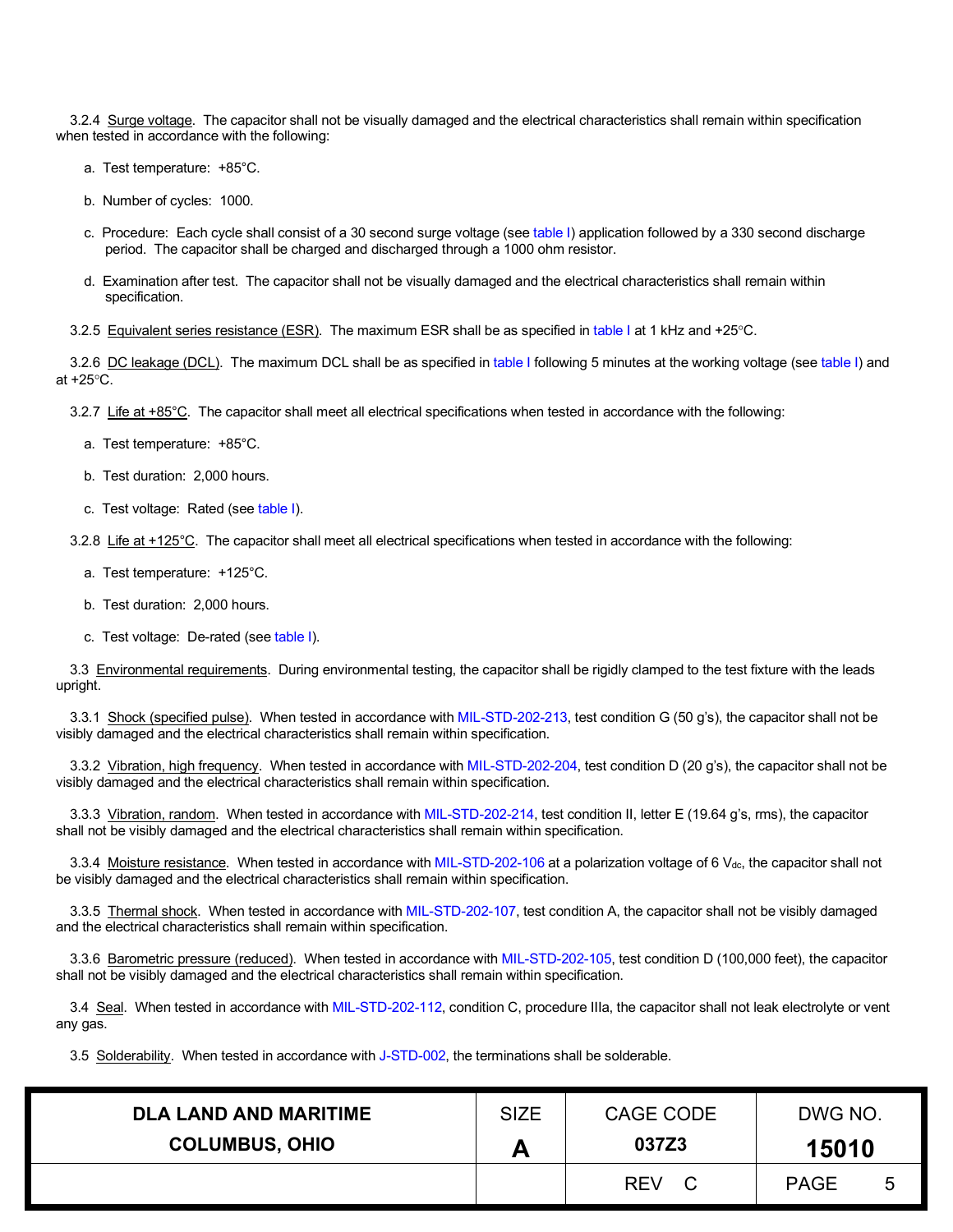3.2.4 Surge voltage. The capacitor shall not be visually damaged and the electrical characteristics shall remain within specification when tested in accordance with the following:

- a. Test temperature: +85°C.
- b. Number of cycles: 1000.
- c. Procedure: Each cycle shall consist of a 30 second surge voltage (see [table I\)](#page-6-0) application followed by a 330 second discharge period. The capacitor shall be charged and discharged through a 1000 ohm resistor.
- d. Examination after test. The capacitor shall not be visually damaged and the electrical characteristics shall remain within specification.
- 3.2.5 Equivalent series resistance (ESR). The maximum ESR shall be as specified i[n table I](#page-6-0) at 1 kHz and +25°C.

3.2.6 DC leakage (DCL). The maximum DCL shall be as specified in [table I](#page-6-0) following 5 minutes at the working voltage (see [table I\)](#page-6-0) and at +25°C.

3.2.7 Life at  $+85^{\circ}$ C. The capacitor shall meet all electrical specifications when tested in accordance with the following:

- a. Test temperature: +85°C.
- b. Test duration: 2,000 hours.
- c. Test voltage: Rated (see [table I\)](#page-6-0).

3.2.8 Life at +125°C. The capacitor shall meet all electrical specifications when tested in accordance with the following:

- a. Test temperature: +125°C.
- b. Test duration: 2,000 hours.
- c. Test voltage: De-rated (se[e table I\)](#page-6-0).

3.3 Environmental requirements. During environmental testing, the capacitor shall be rigidly clamped to the test fixture with the leads upright.

3.3.1 Shock (specified pulse). When tested in accordance with [MIL-STD-202-213,](https://landandmaritimeapps.dla.mil/Downloads/MilSpec/Docs/MIL-std-202/std202mthd213.pdf) test condition G (50 g's), the capacitor shall not be visibly damaged and the electrical characteristics shall remain within specification.

3.3.2 Vibration, high frequency. When tested in accordance wit[h MIL-STD-202-204,](https://landandmaritimeapps.dla.mil/Downloads/MilSpec/Docs/MIL-std-202/std202mthd204.pdf) test condition D (20 g's), the capacitor shall not be visibly damaged and the electrical characteristics shall remain within specification.

3.3.3 Vibration, random. When tested in accordance with [MIL-STD-202-214,](https://landandmaritimeapps.dla.mil/Downloads/MilSpec/Docs/MIL-std-202/std202mthd214.pdf) test condition II, letter E (19.64 g's, rms), the capacitor shall not be visibly damaged and the electrical characteristics shall remain within specification.

3.3.4 Moisture resistance. When tested in accordance wit[h MIL-STD-202-106](https://landandmaritimeapps.dla.mil/Downloads/MilSpec/Docs/MIL-std-202/std202mthd106.pdf) at a polarization voltage of 6  $V<sub>dc</sub>$ , the capacitor shall not be visibly damaged and the electrical characteristics shall remain within specification.

3.3.5 Thermal shock. When tested in accordance with [MIL-STD-202-107,](https://landandmaritimeapps.dla.mil/Downloads/MilSpec/Docs/MIL-std-202/std202mthd107.pdf) test condition A, the capacitor shall not be visibly damaged and the electrical characteristics shall remain within specification.

3.3.6 Barometric pressure (reduced). When tested in accordance wit[h MIL-STD-202-105,](https://landandmaritimeapps.dla.mil/Downloads/MilSpec/Docs/MIL-std-202/std202mthd105.pdf) test condition D (100,000 feet), the capacitor shall not be visibly damaged and the electrical characteristics shall remain within specification.

3.4 Seal. When tested in accordance with [MIL-STD-202-112,](https://landandmaritimeapps.dla.mil/Downloads/MilSpec/Docs/MIL-std-202/std202mthd112.pdf) condition C, procedure IIIa, the capacitor shall not leak electrolyte or vent any gas.

3.5 Solderability. When tested in accordance with [J-STD-002,](http://www.ipc.org/) the terminations shall be solderable.

| <b>DLA LAND AND MARITIME</b> | <b>SIZE</b> | CAGE CODE         | DWG NO.     |   |  |
|------------------------------|-------------|-------------------|-------------|---|--|
| <b>COLUMBUS, OHIO</b>        |             | 037Z3             | 15010       |   |  |
|                              |             | <b>REV</b><br>- C | <b>PAGE</b> | 5 |  |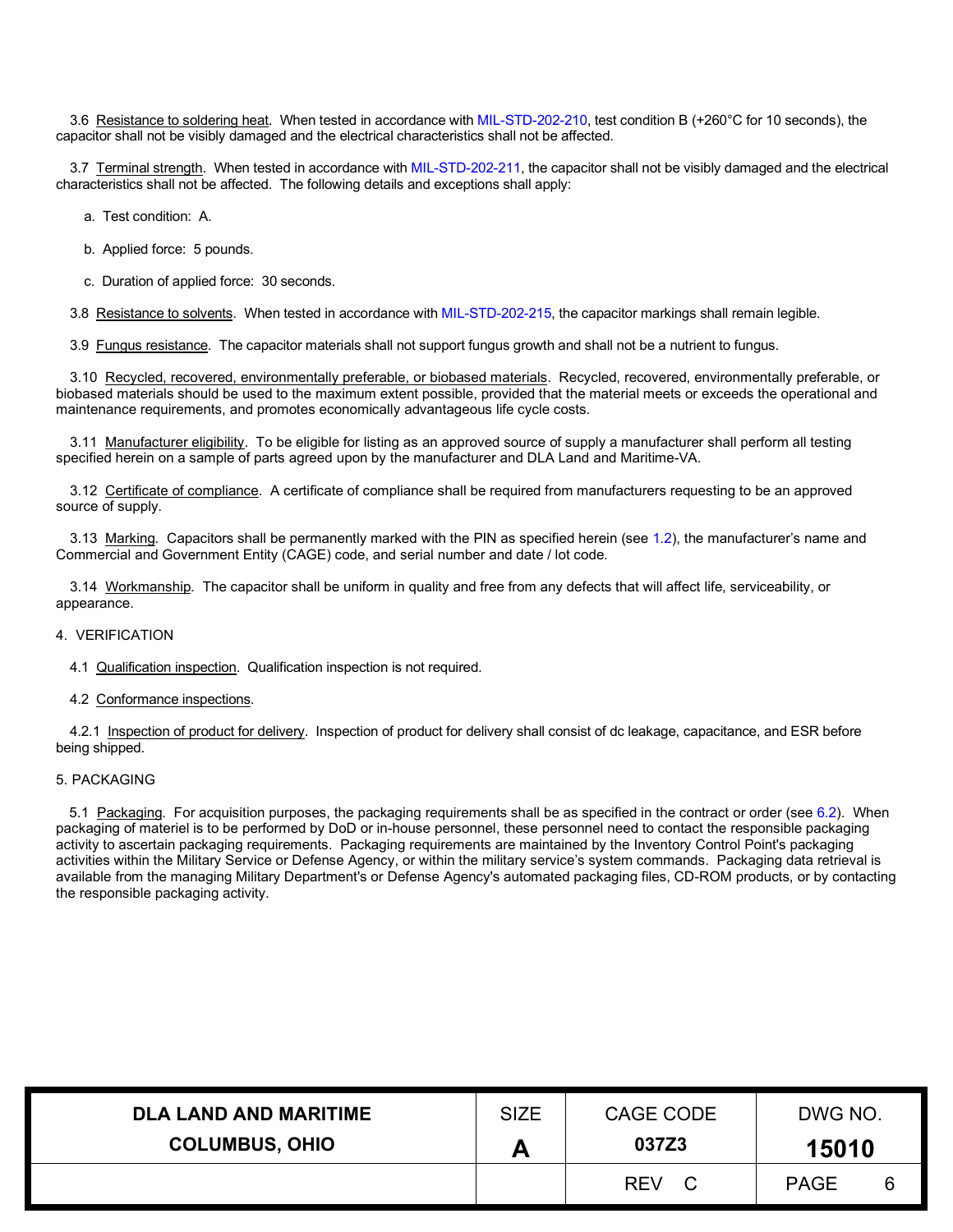3.6 Resistance to soldering heat. When tested in accordance with [MIL-STD-202-210,](https://landandmaritimeapps.dla.mil/Downloads/MilSpec/Docs/MIL-std-202/std202mthd210.pdf) test condition B (+260°C for 10 seconds), the capacitor shall not be visibly damaged and the electrical characteristics shall not be affected.

3.7 Terminal strength. When tested in accordance with [MIL-STD-202-211,](https://landandmaritimeapps.dla.mil/Downloads/MilSpec/Docs/MIL-std-202/std202mthd211.pdf) the capacitor shall not be visibly damaged and the electrical characteristics shall not be affected. The following details and exceptions shall apply:

a. Test condition: A.

- b. Applied force: 5 pounds.
- c. Duration of applied force: 30 seconds.

3.8 Resistance to solvents. When tested in accordance with [MIL-STD-202-215,](https://landandmaritimeapps.dla.mil/Downloads/MilSpec/Docs/MIL-std-202/std202mthd215.pdf) the capacitor markings shall remain legible.

3.9 Fungus resistance. The capacitor materials shall not support fungus growth and shall not be a nutrient to fungus.

3.10 Recycled, recovered, environmentally preferable, or biobased materials. Recycled, recovered, environmentally preferable, or biobased materials should be used to the maximum extent possible, provided that the material meets or exceeds the operational and maintenance requirements, and promotes economically advantageous life cycle costs.

3.11 Manufacturer eligibility. To be eligible for listing as an approved source of supply a manufacturer shall perform all testing specified herein on a sample of parts agreed upon by the manufacturer and DLA Land and Maritime-VA.

3.12 Certificate of compliance. A certificate of compliance shall be required from manufacturers requesting to be an approved source of supply.

3.13 Marking. Capacitors shall be permanently marked with the PIN as specified herein (see [1.2\)](#page-1-3), the manufacturer's name and Commercial and Government Entity (CAGE) code, and serial number and date / lot code.

3.14 Workmanship. The capacitor shall be uniform in quality and free from any defects that will affect life, serviceability, or appearance.

## 4. VERIFICATION

4.1 Qualification inspection. Qualification inspection is not required.

#### 4.2 Conformance inspections.

4.2.1 Inspection of product for delivery. Inspection of product for delivery shall consist of dc leakage, capacitance, and ESR before being shipped.

#### 5. PACKAGING

5.1 Packaging. For acquisition purposes, the packaging requirements shall be as specified in the contract or order (see [6.2\)](#page-7-1). When packaging of materiel is to be performed by DoD or in-house personnel, these personnel need to contact the responsible packaging activity to ascertain packaging requirements. Packaging requirements are maintained by the Inventory Control Point's packaging activities within the Military Service or Defense Agency, or within the military service's system commands. Packaging data retrieval is available from the managing Military Department's or Defense Agency's automated packaging files, CD-ROM products, or by contacting the responsible packaging activity.

| <b>DLA LAND AND MARITIME</b> | <b>SIZE</b> | CAGE CODE        | DWG NO.          |  |  |
|------------------------------|-------------|------------------|------------------|--|--|
| <b>COLUMBUS, OHIO</b>        |             | 037Z3            | 15010            |  |  |
|                              |             | <b>REV</b><br>C. | <b>PAGE</b><br>6 |  |  |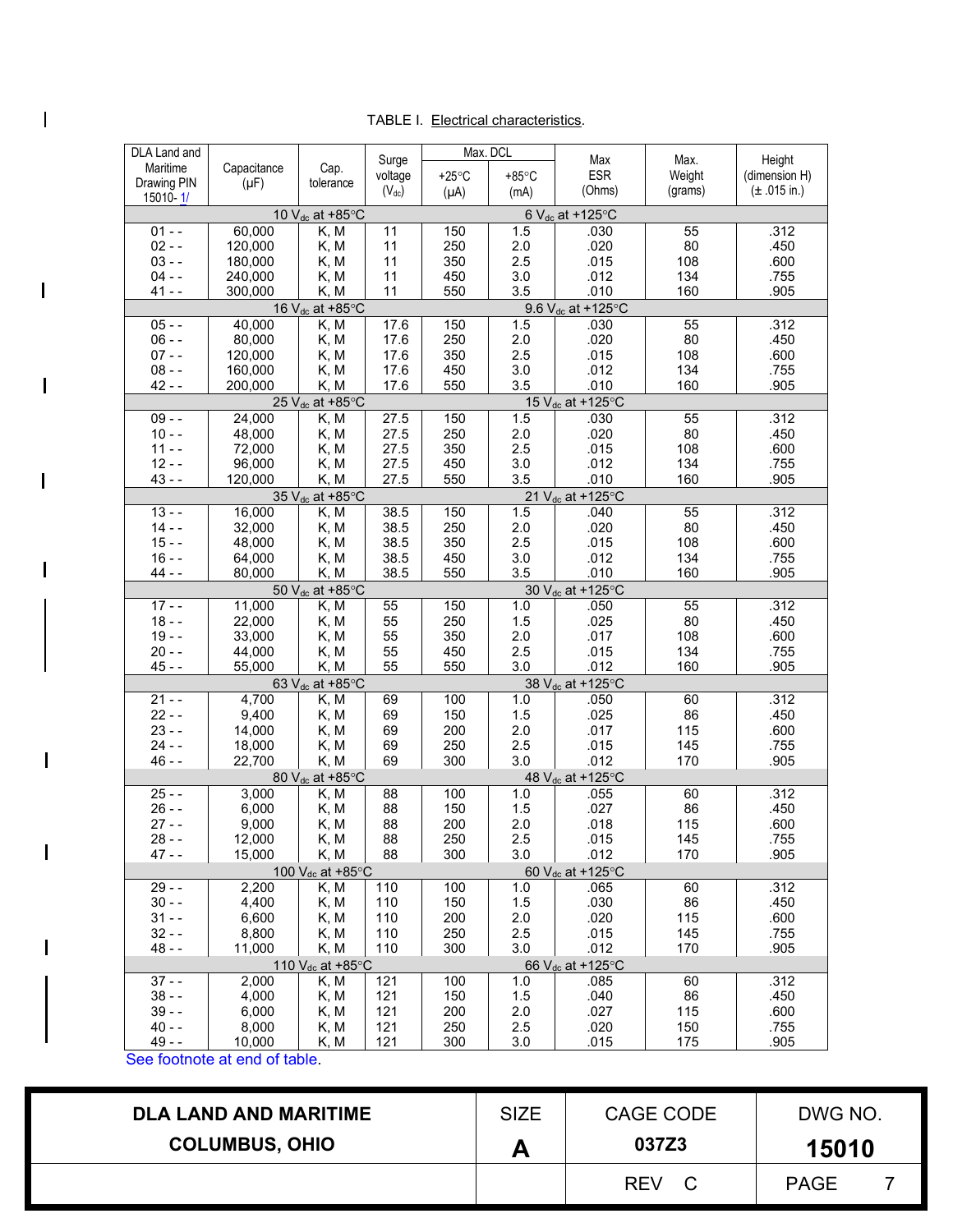# TABLE I. Electrical characteristics.

| DLA Land and         |                    |                                     |                  | Max. DCL        |                 |                                       |                |                          |
|----------------------|--------------------|-------------------------------------|------------------|-----------------|-----------------|---------------------------------------|----------------|--------------------------|
| Maritime             | Capacitance        | Cap.                                | Surge<br>voltage | $+25^{\circ}$ C | $+85^{\circ}$ C | Max<br><b>ESR</b>                     | Max.<br>Weight | Height<br>(dimension H)  |
| Drawing PIN          | $(\mu F)$          | tolerance                           | $(V_{dc})$       | $(\mu A)$       | (mA)            | (Ohms)                                | (grams)        | $(\pm .015 \text{ in.})$ |
| 15010-1/             |                    |                                     |                  |                 |                 |                                       |                |                          |
|                      |                    | 10 $V_{dc}$ at +85 $\degree$ C      |                  |                 |                 | 6 $V_{dc}$ at +125 $\degree$ C        |                |                          |
| $01 - -$             | 60,000             | K, M                                | 11               | 150             | 1.5             | .030                                  | 55             | .312                     |
| $02 - -$<br>$03 - -$ | 120,000            | K, M                                | 11               | 250             | 2.0             | .020                                  | 80             | .450                     |
| $04 -$               | 180,000            | K, M                                | 11<br>11         | 350             | 2.5             | .015                                  | 108            | .600                     |
| $41 - -$             | 240,000<br>300,000 | K, M<br>K, M                        | 11               | 450<br>550      | 3.0<br>3.5      | .012<br>.010                          | 134<br>160     | .755<br>.905             |
|                      |                    |                                     |                  |                 |                 |                                       |                |                          |
| $05 - -$             | 40,000             | 16 V <sub>dc</sub> at +85°C<br>K, M |                  | 150             | 1.5             | 9.6 V <sub>dc</sub> at +125°C<br>.030 | 55             | .312                     |
| $06 - -$             | 80,000             | K, M                                | 17.6<br>17.6     |                 | $2.0\,$         | .020                                  | 80             | .450                     |
| $07 - -$             | 120,000            |                                     |                  | 250<br>350      | 2.5             | .015                                  | 108            | .600                     |
| $08 - -$             | 160,000            | K, M<br>K, M                        | 17.6<br>17.6     | 450             | 3.0             | .012                                  | 134            | .755                     |
| $42 -$               | 200,000            | K, M                                | 17.6             | 550             | 3.5             | .010                                  | 160            | .905                     |
|                      |                    | 25 V <sub>dc</sub> at +85°C         |                  |                 |                 | 15 V <sub>dc</sub> at +125°C          |                |                          |
| $09 - -$             | 24,000             | K, M                                | 27.5             | 150             | 1.5             | .030                                  | 55             | .312                     |
| $10 - -$             |                    |                                     |                  |                 |                 | .020                                  | 80             |                          |
| $11 - -$             | 48,000<br>72,000   | K, M                                | 27.5<br>27.5     | 250<br>350      | 2.0<br>2.5      | .015                                  | 108            | .450<br>.600             |
| $12 -$               | 96,000             | K, M<br>K, M                        | 27.5             | 450             | 3.0             | .012                                  | 134            | .755                     |
| $43 - -$             | 120,000            | K, M                                | 27.5             | 550             | 3.5             | .010                                  | 160            | .905                     |
|                      |                    | 35 V <sub>dc</sub> at +85°C         |                  |                 |                 | 21 V <sub>dc</sub> at +125°C          |                |                          |
| $13 - -$             | 16,000             | K, M                                | 38.5             | 150             | 1.5             | .040                                  | 55             | .312                     |
| $14 - -$             | 32,000             | K, M                                | 38.5             | 250             | 2.0             | .020                                  | 80             | .450                     |
| $15 - -$             | 48,000             |                                     | 38.5             | 350             | 2.5             | .015                                  | 108            | .600                     |
| $16 - -$             | 64,000             | K, M                                | 38.5             | 450             |                 | .012                                  | 134            | .755                     |
| $44 - -$             | 80,000             | K, M<br>K, M                        | 38.5             | 550             | 3.0<br>3.5      | .010                                  | 160            | .905                     |
|                      |                    | 50 V <sub>dc</sub> at +85°C         |                  |                 |                 | 30 V <sub>dc</sub> at +125°C          |                |                          |
| $17 - -$             | 11,000             | K, M                                | 55               | 150             | 1.0             | .050                                  | 55             | .312                     |
| $18 - -$             | 22,000             | K, M                                | 55               | 250             | 1.5             | .025                                  | 80             | .450                     |
| $19 - -$             | 33,000             | K, M                                | 55               | 350             | 2.0             | .017                                  | 108            | .600                     |
| $20 - -$             | 44,000             | K, M                                | 55               | 450             | 2.5             | .015                                  | 134            | .755                     |
| $45 -$               | 55,000             | K, M                                | 55               | 550             | 3.0             | .012                                  | 160            | .905                     |
|                      |                    | 63 V <sub>dc</sub> at +85°C         |                  |                 |                 | 38 V <sub>dc</sub> at +125°C          |                |                          |
| $21 - -$             | 4,700              | K, M                                | 69               | 100             | 1.0             | .050                                  | 60             | .312                     |
| $22 - -$             | 9,400              | K, M                                | 69               | 150             | 1.5             | .025                                  | 86             | .450                     |
| $23 - -$             | 14,000             | K, M                                | 69               | 200             | 2.0             | .017                                  | 115            | .600                     |
| $24 - -$             | 18,000             | K, M                                | 69               | 250             | 2.5             | .015                                  | 145            | .755                     |
| $46 -$               | 22,700             | K, M                                | 69               | 300             | 3.0             | .012                                  | 170            | .905                     |
|                      |                    | 80 V <sub>dc</sub> at +85°C         |                  |                 |                 | 48 V <sub>dc</sub> at +125°C          |                |                          |
| $25 -$               | 3,000              | K, M                                | 88               | 100             | 1.0             | .055                                  | 60             | .312                     |
| $26 - -$             | 6,000              | K, M                                | 88               | 150             | 1.5             | .027                                  | 86             | .450                     |
| $27 -$               | 9,000              | K, M                                | 88               | 200             | 2.0             | .018                                  | 115            | .600                     |
| $28 - -$             | 12,000             | K, M                                | 88               | 250             | 2.5             | .015                                  | 145            | .755                     |
| 47 - -               | 15,000             | K, M                                | 88               | 300             | 3.0             | .012                                  | 170            | .905                     |
|                      |                    | 100 V <sub>dc</sub> at +85°C        |                  |                 |                 | 60 V <sub>dc</sub> at +125°C          |                |                          |
| $29 - -$             | 2,200              | K, M                                | 110              | 100             | 1.0             | .065                                  | 60             | .312                     |
| $30 - -$             | 4,400              | K, M                                | 110              | 150             | 1.5             | .030                                  | 86             | .450                     |
| $31 - -$             | 6,600              | K, M                                | 110              | 200             | 2.0             | .020                                  | 115            | .600                     |
| $32 - -$             | 8,800              | K, M                                | 110              | 250             | 2.5             | .015                                  | 145            | .755                     |
| $48 - -$             | 11,000             | K, M                                | 110              | 300             | 3.0             | .012                                  | 170            | .905                     |
|                      |                    | 110 $V_{dc}$ at +85 $^{\circ}$ C    |                  |                 |                 | 66 V <sub>dc</sub> at +125°C          |                |                          |
| $37 - -$             | 2,000              | K, M                                | 121              | 100             | 1.0             | .085                                  | 60             | .312                     |
| $38 - -$             | 4,000              | K, M                                | 121              | 150             | 1.5             | .040                                  | 86             | .450                     |
| $39 - -$             | 6,000              | K, M                                | 121              | 200             | 2.0             | .027                                  | 115            | .600                     |
| $40 - -$             | 8,000              | K, M                                | 121              | 250             | 2.5             | .020                                  | 150            | .755                     |
| $49 - -$             | 10,000             | K, M                                | 121              | 300             | 3.0             | .015                                  | 175            | .905                     |

[See footnote at end of table.](#page-7-2)

<span id="page-6-0"></span> $\overline{1}$ 

 $\overline{1}$ 

 $\overline{1}$ 

 $\overline{1}$ 

 $\mathsf{I}$ 

 $\overline{\phantom{a}}$ 

 $\overline{\phantom{a}}$ 

 $\mathsf{I}$ 

| <b>DLA LAND AND MARITIME</b> | <b>SIZE</b> | CAGE CODE  | DWG NO.     |  |  |  |
|------------------------------|-------------|------------|-------------|--|--|--|
| <b>COLUMBUS, OHIO</b>        |             | 037Z3      | 15010       |  |  |  |
|                              |             | <b>REV</b> | <b>PAGE</b> |  |  |  |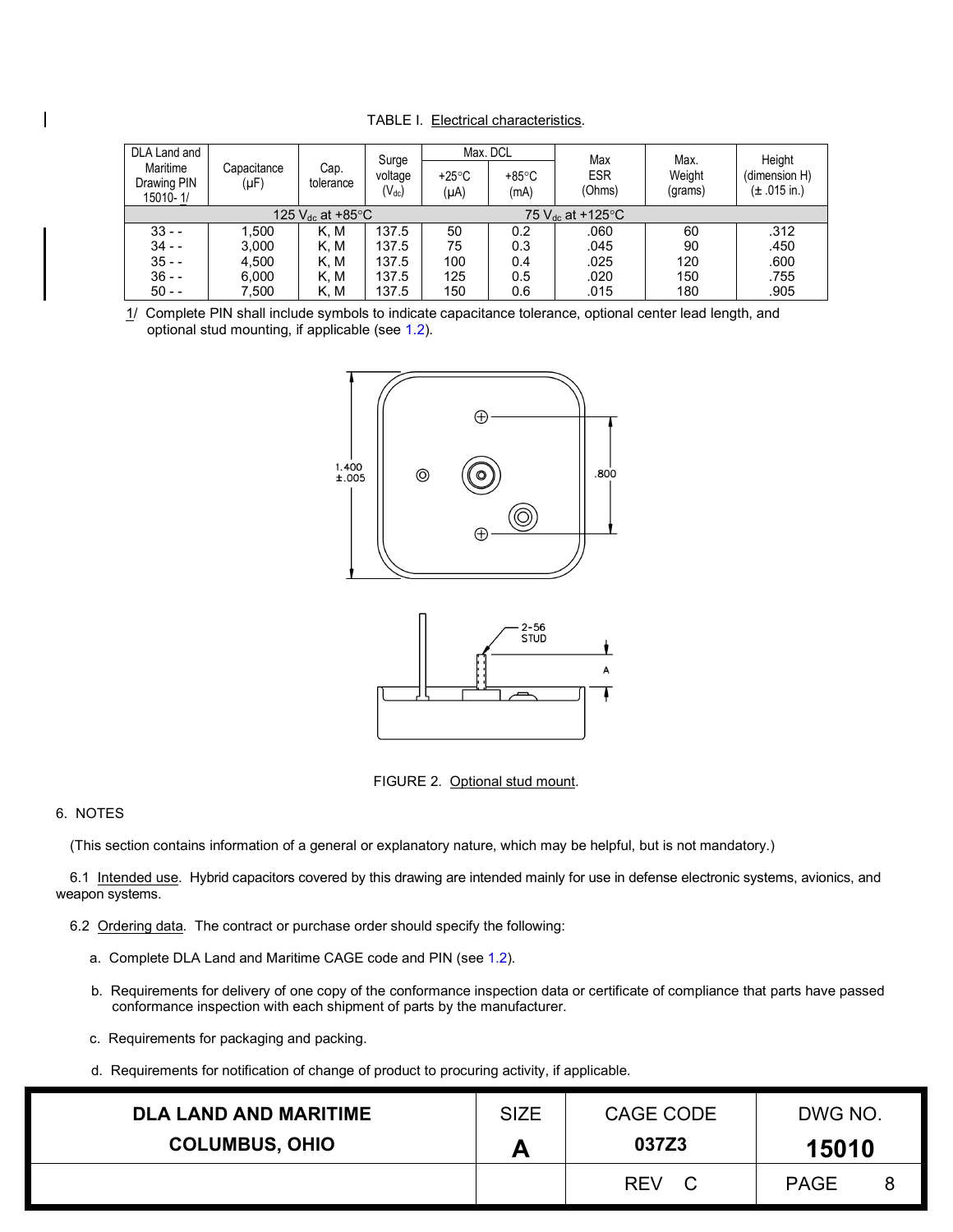| <b>TABLE I. Electrical characteristics.</b> |
|---------------------------------------------|
|---------------------------------------------|

| DLA Land and                                                |                     |                   | Surge                 | Max. DCL                |                         | Max                  | Max.              | Height                                    |
|-------------------------------------------------------------|---------------------|-------------------|-----------------------|-------------------------|-------------------------|----------------------|-------------------|-------------------------------------------|
| Maritime<br>Drawing PIN<br>15010-1/                         | Capacitance<br>(µF) | Cap.<br>tolerance | voltage<br>$(V_{dc})$ | $+25^{\circ}$ C<br>(µA) | $+85^{\circ}$ C<br>(mA) | <b>ESR</b><br>(Ohms) | Weight<br>(grams) | (dimension H)<br>$(\pm .015 \text{ in.})$ |
| 125 $V_{dc}$ at +85 $°C$<br>75 $V_{dc}$ at +125 $\degree$ C |                     |                   |                       |                         |                         |                      |                   |                                           |
| $33 - -$                                                    | 1.500               | K. M              | 137.5                 | 50                      | 0.2                     | .060                 | 60                | .312                                      |
| $34 - -$                                                    | 3.000               | K. M              | 137.5                 | 75                      | 0.3                     | .045                 | 90                | .450                                      |
| $35 - -$                                                    | 4,500               | K. M              | 137.5                 | 100                     | 0.4                     | .025                 | 120               | .600                                      |
| $36 - -$                                                    | 6,000               | K. M              | 137.5                 | 125                     | 0.5                     | .020                 | 150               | .755                                      |
| $50 - -$                                                    | 7,500               | K. M              | 137.5                 | 150                     | 0.6                     | .015                 | 180               | .905                                      |

<span id="page-7-2"></span><span id="page-7-0"></span>1/ Complete PIN shall include symbols to indicate capacitance tolerance, optional center lead length, and optional stud mounting, if applicable (see [1.2\)](#page-1-3).





FIGURE 2. Optional stud mount.

## 6. NOTES

 $\mathsf{l}$ 

(This section contains information of a general or explanatory nature, which may be helpful, but is not mandatory.)

6.1 Intended use. Hybrid capacitors covered by this drawing are intended mainly for use in defense electronic systems, avionics, and weapon systems.

- <span id="page-7-1"></span>6.2 Ordering data. The contract or purchase order should specify the following:
	- a. Complete DLA Land and Maritime CAGE code and PIN (se[e 1.2\)](#page-1-3).
	- b. Requirements for delivery of one copy of the conformance inspection data or certificate of compliance that parts have passed conformance inspection with each shipment of parts by the manufacturer.
	- c. Requirements for packaging and packing.
	- d. Requirements for notification of change of product to procuring activity, if applicable.

| <b>DLA LAND AND MARITIME</b> | <b>SIZE</b> | CAGE CODE        | DWG NO.     |   |
|------------------------------|-------------|------------------|-------------|---|
| <b>COLUMBUS, OHIO</b>        | Α           | 037Z3            | 15010       |   |
|                              |             | <b>REV</b><br>C. | <b>PAGE</b> | 8 |